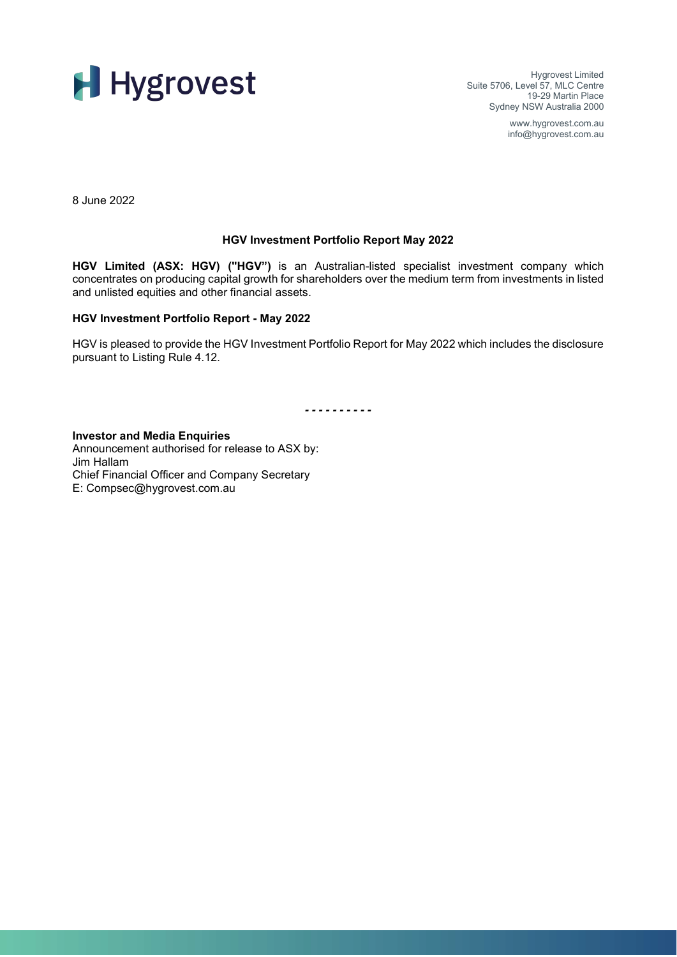

Hygrovest Limited Suite 5706, Level 57, MLC Centre 19-29 Martin Place Sydney NSW Australia 2000

> www.hygrovest.com.au info@hygrovest.com.au

8 June 2022

## **HGV Investment Portfolio Report May 2022**

**HGV Limited (ASX: HGV) ("HGV")** is an Australian-listed specialist investment company which concentrates on producing capital growth for shareholders over the medium term from investments in listed and unlisted equities and other financial assets.

## **HGV Investment Portfolio Report - May 2022**

HGV is pleased to provide the HGV Investment Portfolio Report for May 2022 which includes the disclosure pursuant to Listing Rule 4.12.

*- - - - - - - - - -*

**Investor and Media Enquiries** Announcement authorised for release to ASX by: Jim Hallam Chief Financial Officer and Company Secretary E: Compsec@hygrovest.com.au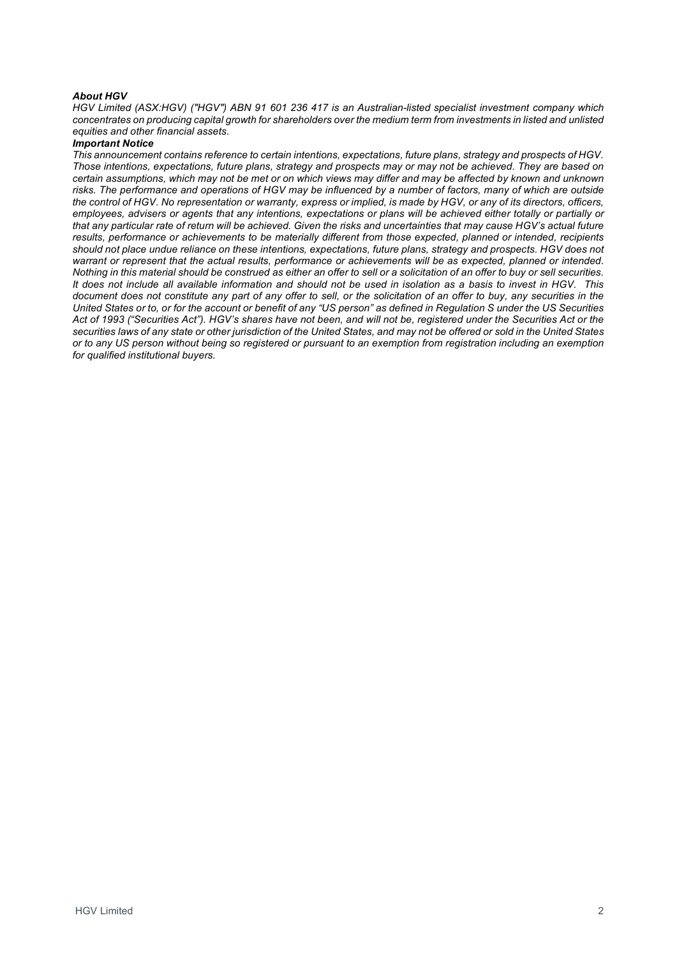### *About HGV*

*HGV Limited (ASX:HGV) ("HGV") ABN 91 601 236 417 is an Australian-listed specialist investment company which*  concentrates on producing capital growth for shareholders over the medium term from investments in listed and unlisted *equities and other financial assets.*

### *Important Notice*

*This announcement contains reference to certain intentions, expectations, future plans, strategy and prospects of HGV. Those intentions, expectations, future plans, strategy and prospects may or may not be achieved. They are based on certain assumptions, which may not be met or on which views may differ and may be affected by known and unknown risks. The performance and operations of HGV may be influenced by a number of factors, many of which are outside the control of HGV. No representation or warranty, express or implied, is made by HGV, or any of its directors, officers, employees, advisers or agents that any intentions, expectations or plans will be achieved either totally or partially or that any particular rate of return will be achieved. Given the risks and uncertainties that may cause HGV's actual future*  results, performance or achievements to be materially different from those expected, planned or intended, recipients *should not place undue reliance on these intentions, expectations, future plans, strategy and prospects. HGV does not warrant or represent that the actual results, performance or achievements will be as expected, planned or intended. Nothing in this material should be construed as either an offer to sell or a solicitation of an offer to buy or sell securities. It does not include all available information and should not be used in isolation as a basis to invest in HGV. This document does not constitute any part of any offer to sell, or the solicitation of an offer to buy, any securities in the United States or to, or for the account or benefit of any "US person" as defined in Regulation S under the US Securities Act of 1993 ("Securities Act"). HGV's shares have not been, and will not be, registered under the Securities Act or the securities laws of any state or other jurisdiction of the United States, and may not be offered or sold in the United States or to any US person without being so registered or pursuant to an exemption from registration including an exemption for qualified institutional buyers.*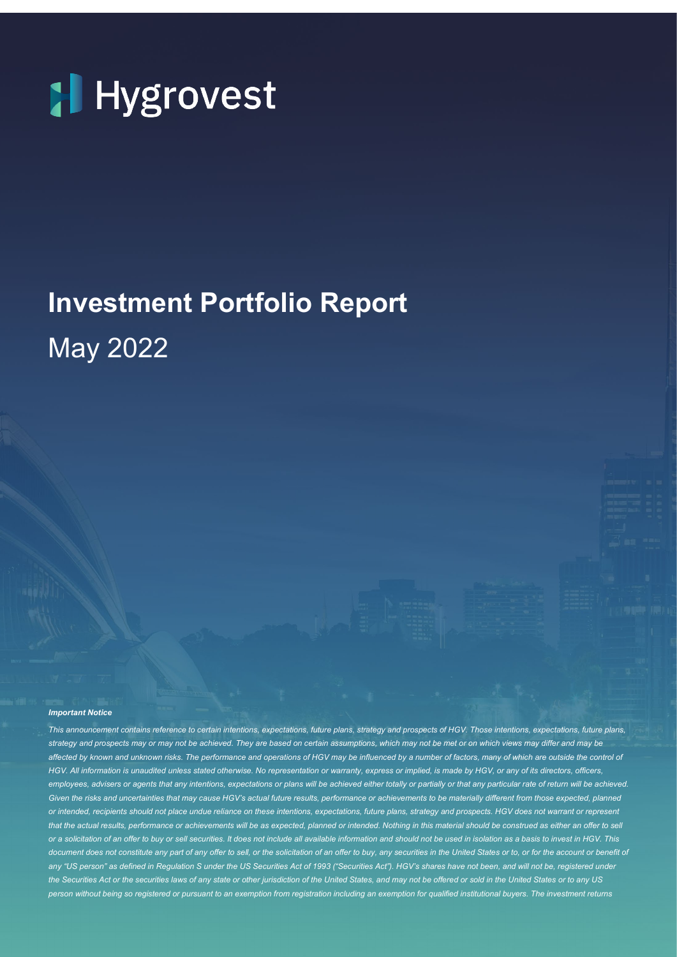

# **Investment Portfolio Report** May 2022

#### *Important Notice*

*This announcement contains reference to certain intentions, expectations, future plans, strategy and prospects of HGV. Those intentions, expectations, future plans, strategy and prospects may or may not be achieved. They are based on certain assumptions, which may not be met or on which views may differ and may be affected by known and unknown risks. The performance and operations of HGV may be influenced by a number of factors, many of which are outside the control of HGV. All information is unaudited unless stated otherwise. No representation or warranty, express or implied, is made by HGV, or any of its directors, officers,*  employees, advisers or agents that any intentions, expectations or plans will be achieved either totally or partially or that any particular rate of return will be achieved. Given the risks and uncertainties that may cause HGV's actual future results, performance or achievements to be materially different from those expected, planned *or intended, recipients should not place undue reliance on these intentions, expectations, future plans, strategy and prospects. HGV does not warrant or represent*  that the actual results, performance or achievements will be as expected, planned or intended. Nothing in this material should be construed as either an offer to sell *or a solicitation of an offer to buy or sell securities. It does not include all available information and should not be used in isolation as a basis to invest in HGV. This*  document does not constitute any part of any offer to sell, or the solicitation of an offer to buy, any securities in the United States or to, or for the account or benefit of any "US person" as defined in Regulation S under the US Securities Act of 1993 ("Securities Act"). HGV's shares have not been, and will not be, registered under *the Securities Act or the securities laws of any state or other jurisdiction of the United States, and may not be offered or sold in the United States or to any US person without being so registered or pursuant to an exemption from registration including an exemption for qualified institutional buyers. The investment returns*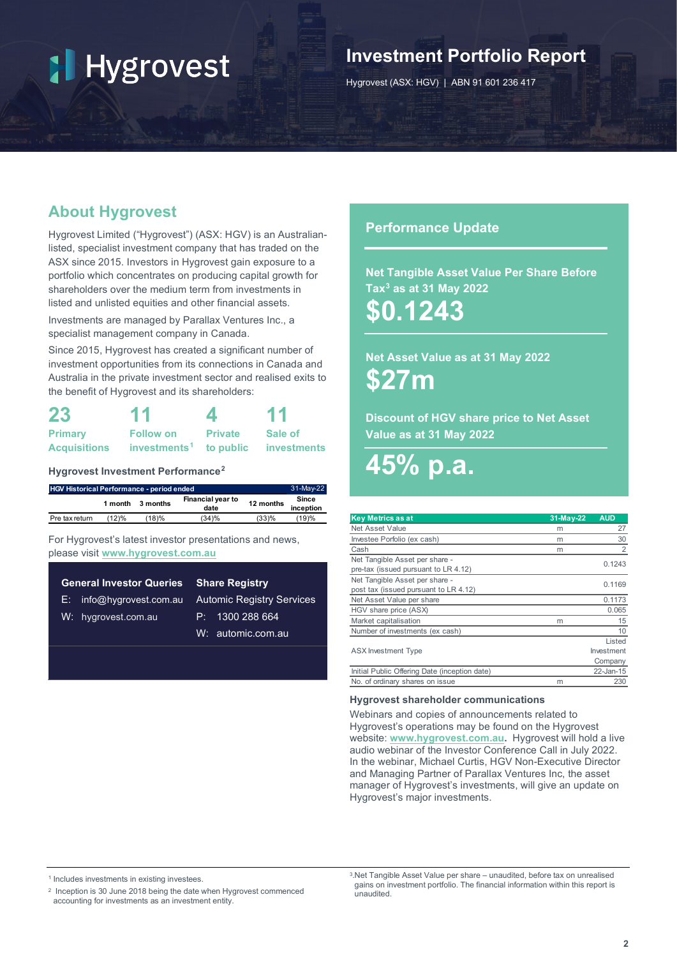## **Investment Portfolio Report**

Hygrovest (ASX: HGV) | ABN 91 601 236 417

## **About Hygrovest**

Hygrovest Limited ("Hygrovest") (ASX: HGV) is an Australianlisted, specialist investment company that has traded on the ASX since 2015. Investors in Hygrovest gain exposure to a portfolio which concentrates on producing capital growth for shareholders over the medium term from investments in listed and unlisted equities and other financial assets.

Investments are managed by Parallax Ventures Inc., a specialist management company in Canada.

Since 2015, Hygrovest has created a significant number of investment opportunities from its connections in Canada and Australia in the private investment sector and realised exits to the benefit of Hygrovest and its shareholders:

| 23                  | 11                                 | 4              | 11          |  |  |
|---------------------|------------------------------------|----------------|-------------|--|--|
| <b>Primary</b>      | <b>Follow on</b>                   | <b>Private</b> | Sale of     |  |  |
| <b>Acquisitions</b> | investments <sup>1</sup> to public |                | investments |  |  |

## **Hygrovest Investment Performance[2](#page-3-1)**

| <b>HGV Historical Performance - period ended</b> |         |                                       |       |           | 31-May-22          |
|--------------------------------------------------|---------|---------------------------------------|-------|-----------|--------------------|
|                                                  | 1 month | Financial year to<br>3 months<br>date |       | 12 months | Since<br>inception |
| Pre tax return                                   | (12)%   | $^{\prime}$ 18)%                      | (34)% | (33)%     | (19)%              |

For Hygrovest's latest investor presentations and news, please visit **[www.hygrovest.com.au](http://www.hygrovest.com.au/)**

| <b>General Investor Queries Share Registry</b> |                                  |  |  |  |  |
|------------------------------------------------|----------------------------------|--|--|--|--|
| $E:$ info@hygrovest.com.au                     | <b>Automic Registry Services</b> |  |  |  |  |
| W: hygrovest.com.au                            | P: 1300288664                    |  |  |  |  |
|                                                | W: automic.com.au                |  |  |  |  |
|                                                |                                  |  |  |  |  |

## **Performance Update**

**Net Tangible Asset Value Per Share Before Tax[3](#page-3-2) as at 31 May 2022**

**\$0.1243**

**Net Asset Value as at 31 May 2022 \$27m** 

**Discount of HGV share price to Net Asset Value as at 31 May 2022**

# **45% p.a.**

| <b>Key Metrics as at</b>                      | $31-May-22$ | <b>AUD</b> |
|-----------------------------------------------|-------------|------------|
| Net Asset Value                               | m           | 27         |
| Investee Porfolio (ex cash)                   | m           | 30         |
| Cash                                          | m           | 2          |
| Net Tangible Asset per share -                |             | 0.1243     |
| pre-tax (issued pursuant to LR 4.12)          |             |            |
| Net Tangible Asset per share -                |             | 0.1169     |
| post tax (issued pursuant to LR 4.12)         |             |            |
| Net Asset Value per share                     |             | 0.1173     |
| HGV share price (ASX)                         |             | 0.065      |
| Market capitalisation                         | m           | 15         |
| Number of investments (ex cash)               |             | 10         |
|                                               |             | Listed     |
| <b>ASX</b> Investment Type                    |             | Investment |
|                                               |             | Company    |
| Initial Public Offering Date (inception date) |             | 22-Jan-15  |
| No. of ordinary shares on issue               | m           | 230        |

### **Hygrovest shareholder communications**

Webinars and copies of announcements related to Hygrovest's operations may be found on the Hygrovest website: **[www.hygrovest.com.au.](http://www.hygrovest.com.au/)** Hygrovest will hold a live audio webinar of the Investor Conference Call in July 2022. In the webinar, Michael Curtis, HGV Non-Executive Director and Managing Partner of Parallax Ventures Inc, the asset manager of Hygrovest's investments, will give an update on Hygrovest's major investments.

<span id="page-3-2"></span><span id="page-3-0"></span><sup>1</sup> Includes investments in existing investees.

<span id="page-3-1"></span><sup>2</sup> Inception is 30 June 2018 being the date when Hygrovest commenced accounting for investments as an investment entity.

<sup>3.</sup>Net Tangible Asset Value per share – unaudited, before tax on unrealised gains on investment portfolio. The financial information within this report is unaudited.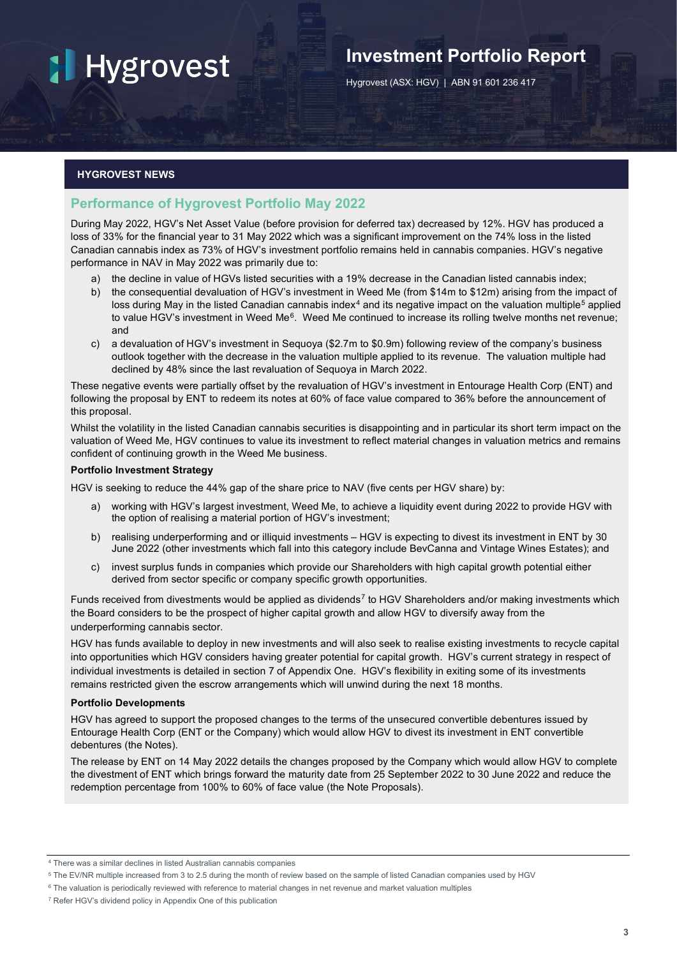## **Investment Portfolio Report**

Hygrovest (ASX: HGV) | ABN 91 601 236 417

## **HYGROVEST NEWS**

## **Performance of Hygrovest Portfolio May 2022**

During May 2022, HGV's Net Asset Value (before provision for deferred tax) decreased by 12%. HGV has produced a loss of 33% for the financial year to 31 May 2022 which was a significant improvement on the 74% loss in the listed Canadian cannabis index as 73% of HGV's investment portfolio remains held in cannabis companies. HGV's negative performance in NAV in May 2022 was primarily due to:

- a) the decline in value of HGVs listed securities with a 19% decrease in the Canadian listed cannabis index;
- b) the consequential devaluation of HGV's investment in Weed Me (from \$14m to \$12m) arising from the impact of loss during May in the listed Canadian cannabis index<sup>[4](#page-4-0)</sup> and its negative impact on the valuation multiple<sup>[5](#page-4-1)</sup> applied to value HGV's investment in Weed Me<sup>6</sup>. Weed Me continued to increase its rolling twelve months net revenue; and
- c) a devaluation of HGV's investment in Sequoya (\$2.7m to \$0.9m) following review of the company's business outlook together with the decrease in the valuation multiple applied to its revenue. The valuation multiple had declined by 48% since the last revaluation of Sequoya in March 2022.

These negative events were partially offset by the revaluation of HGV's investment in Entourage Health Corp (ENT) and following the proposal by ENT to redeem its notes at 60% of face value compared to 36% before the announcement of this proposal.

Whilst the volatility in the listed Canadian cannabis securities is disappointing and in particular its short term impact on the valuation of Weed Me, HGV continues to value its investment to reflect material changes in valuation metrics and remains confident of continuing growth in the Weed Me business.

### **Portfolio Investment Strategy**

HGV is seeking to reduce the 44% gap of the share price to NAV (five cents per HGV share) by:

- a) working with HGV's largest investment, Weed Me, to achieve a liquidity event during 2022 to provide HGV with the option of realising a material portion of HGV's investment;
- b) realising underperforming and or illiquid investments HGV is expecting to divest its investment in ENT by 30 June 2022 (other investments which fall into this category include BevCanna and Vintage Wines Estates); and
- c) invest surplus funds in companies which provide our Shareholders with high capital growth potential either derived from sector specific or company specific growth opportunities.

Funds received from divestments would be applied as dividends<sup>[7](#page-4-3)</sup> to HGV Shareholders and/or making investments which the Board considers to be the prospect of higher capital growth and allow HGV to diversify away from the underperforming cannabis sector.

HGV has funds available to deploy in new investments and will also seek to realise existing investments to recycle capital into opportunities which HGV considers having greater potential for capital growth. HGV's current strategy in respect of individual investments is detailed in section 7 of Appendix One. HGV's flexibility in exiting some of its investments remains restricted given the escrow arrangements which will unwind during the next 18 months.

### **Portfolio Developments**

HGV has agreed to support the proposed changes to the terms of the unsecured convertible debentures issued by Entourage Health Corp (ENT or the Company) which would allow HGV to divest its investment in ENT convertible debentures (the Notes).

The release by ENT on 14 May 2022 details the changes proposed by the Company which would allow HGV to complete the divestment of ENT which brings forward the maturity date from 25 September 2022 to 30 June 2022 and reduce the redemption percentage from 100% to 60% of face value (the Note Proposals).

<span id="page-4-0"></span><sup>4</sup> There was a similar declines in listed Australian cannabis companies

<span id="page-4-1"></span><sup>5</sup> The EV/NR multiple increased from 3 to 2.5 during the month of review based on the sample of listed Canadian companies used by HGV

<span id="page-4-2"></span><sup>6</sup> The valuation is periodically reviewed with reference to material changes in net revenue and market valuation multiples

<span id="page-4-3"></span><sup>7</sup> Refer HGV's dividend policy in Appendix One of this publication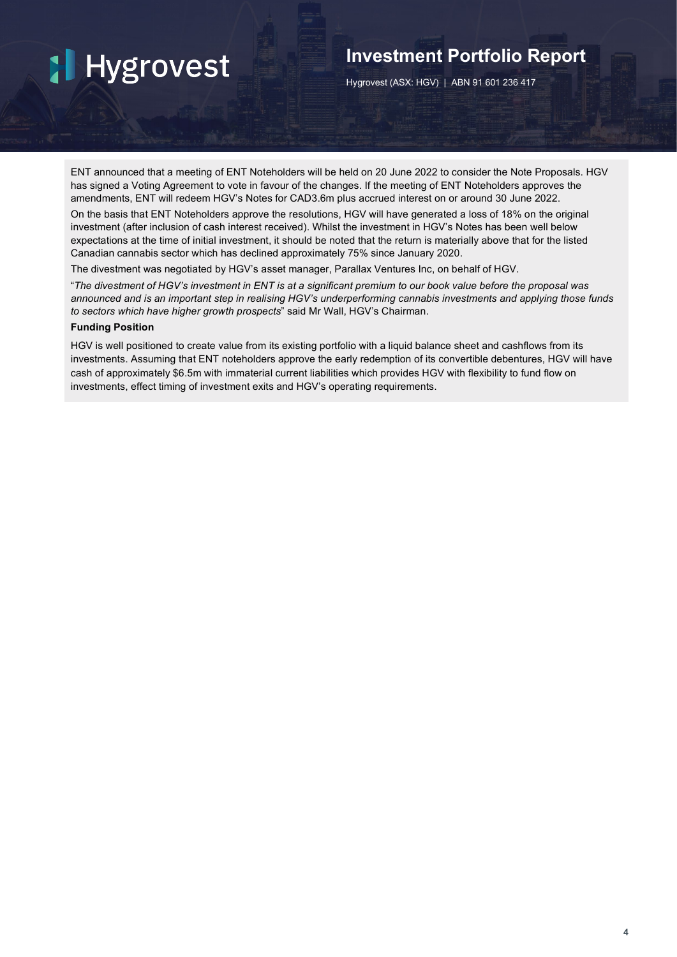## **Investment Portfolio Report**

Hygrovest (ASX: HGV) | ABN 91 601 236 417

ENT announced that a meeting of ENT Noteholders will be held on 20 June 2022 to consider the Note Proposals. HGV has signed a Voting Agreement to vote in favour of the changes. If the meeting of ENT Noteholders approves the amendments, ENT will redeem HGV's Notes for CAD3.6m plus accrued interest on or around 30 June 2022.

On the basis that ENT Noteholders approve the resolutions, HGV will have generated a loss of 18% on the original investment (after inclusion of cash interest received). Whilst the investment in HGV's Notes has been well below expectations at the time of initial investment, it should be noted that the return is materially above that for the listed Canadian cannabis sector which has declined approximately 75% since January 2020.

The divestment was negotiated by HGV's asset manager, Parallax Ventures Inc, on behalf of HGV.

"*The divestment of HGV's investment in ENT is at a significant premium to our book value before the proposal was announced and is an important step in realising HGV's underperforming cannabis investments and applying those funds to sectors which have higher growth prospects*" said Mr Wall, HGV's Chairman.

## **Funding Position**

HGV is well positioned to create value from its existing portfolio with a liquid balance sheet and cashflows from its investments. Assuming that ENT noteholders approve the early redemption of its convertible debentures, HGV will have cash of approximately \$6.5m with immaterial current liabilities which provides HGV with flexibility to fund flow on investments, effect timing of investment exits and HGV's operating requirements.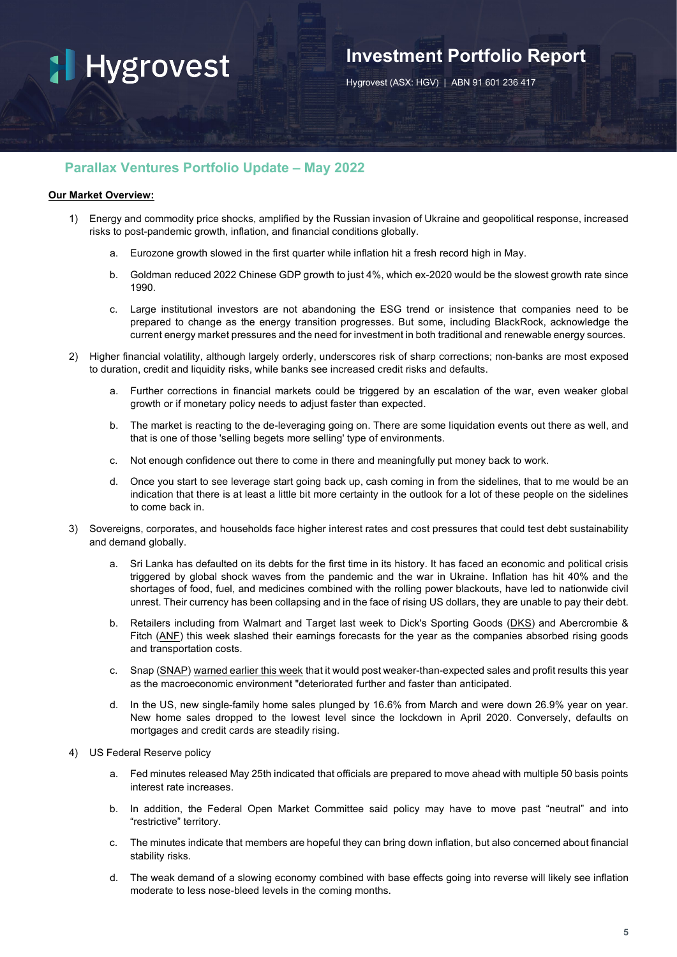## **Investment Portfolio Report**

Hygrovest (ASX: HGV) | ABN 91 601 236 417

## **Parallax Ventures Portfolio Update – May 2022**

## **Our Market Overview:**

- 1) Energy and commodity price shocks, amplified by the Russian invasion of Ukraine and geopolitical response, increased risks to post-pandemic growth, inflation, and financial conditions globally.
	- a. Eurozone growth slowed in the first quarter while inflation hit a fresh record high in May.
	- b. Goldman reduced 2022 Chinese GDP growth to just 4%, which ex-2020 would be the slowest growth rate since 1990.
	- c. Large institutional investors are not abandoning the ESG trend or insistence that companies need to be prepared to change as the energy transition progresses. But some, including BlackRock, acknowledge the current energy market pressures and the need for investment in both traditional and renewable energy sources.
- 2) Higher financial volatility, although largely orderly, underscores risk of sharp corrections; non-banks are most exposed to duration, credit and liquidity risks, while banks see increased credit risks and defaults.
	- a. Further corrections in financial markets could be triggered by an escalation of the war, even weaker global growth or if monetary policy needs to adjust faster than expected.
	- b. The market is reacting to the de-leveraging going on. There are some liquidation events out there as well, and that is one of those 'selling begets more selling' type of environments.
	- c. Not enough confidence out there to come in there and meaningfully put money back to work.
	- d. Once you start to see leverage start going back up, cash coming in from the sidelines, that to me would be an indication that there is at least a little bit more certainty in the outlook for a lot of these people on the sidelines to come back in.
- 3) Sovereigns, corporates, and households face higher interest rates and cost pressures that could test debt sustainability and demand globally.
	- a. Sri Lanka has defaulted on its debts for the first time in its history. It has faced an economic and political crisis triggered by global shock waves from the pandemic and the war in Ukraine. Inflation has hit 40% and the shortages of food, fuel, and medicines combined with the rolling power blackouts, have led to nationwide civil unrest. Their currency has been collapsing and in the face of rising US dollars, they are unable to pay their debt.
	- b. Retailers including from Walmart and Target last week to Dick's Sporting Goods [\(DKS\)](https://finance.yahoo.com/quote/DKS/) and Abercrombie & Fitch [\(ANF\)](https://finance.yahoo.com/quote/ANF) this week slashed their earnings forecasts for the year as the companies absorbed rising goods and transportation costs.
	- c. Snap [\(SNAP\)](https://finance.yahoo.com/quote/SNAP?p=SNAP&.tsrc=fin-srch) [warned](https://finance.yahoo.com/news/snap-stock-crashes-after-macroeconomic-environment-warning-152804753.html) earlier this week that it would post weaker-than-expected sales and profit results this year as the macroeconomic environment "deteriorated further and faster than anticipated.
	- d. In the US, new single-family home sales plunged by 16.6% from March and were down 26.9% year on year. New home sales dropped to the lowest level since the lockdown in April 2020. Conversely, defaults on mortgages and credit cards are steadily rising.
- 4) US Federal Reserve policy
	- a. Fed minutes released May 25th indicated that officials are prepared to move ahead with multiple 50 basis points interest rate increases.
	- b. In addition, the Federal Open Market Committee said policy may have to move past "neutral" and into "restrictive" territory.
	- c. The minutes indicate that members are hopeful they can bring down inflation, but also concerned about financial stability risks.
	- d. The weak demand of a slowing economy combined with base effects going into reverse will likely see inflation moderate to less nose-bleed levels in the coming months.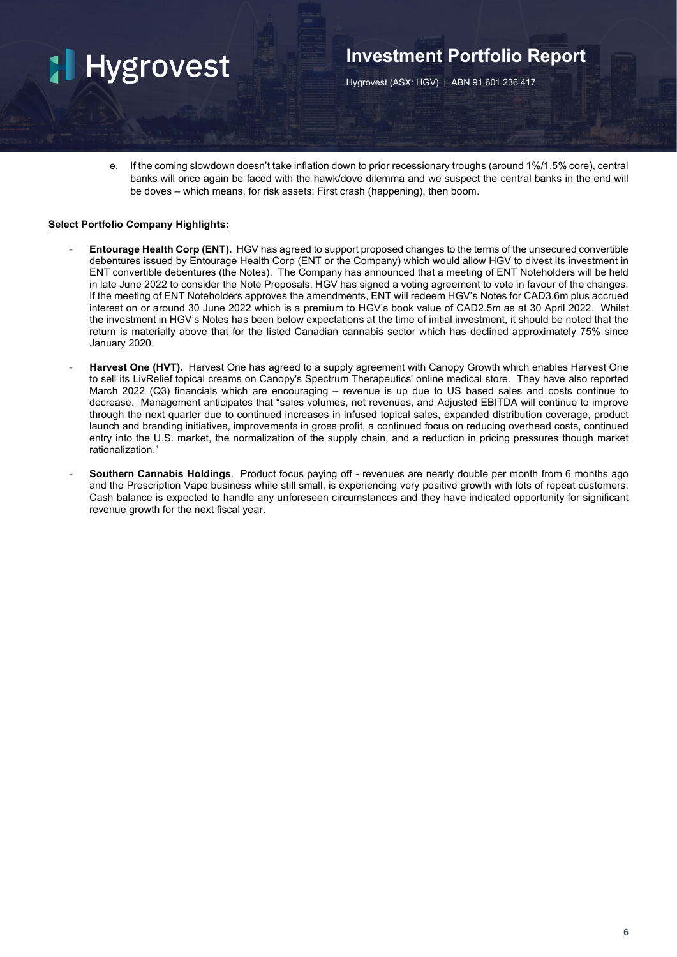## **Investment Portfolio Report**

Hygrovest (ASX: HGV) | ABN 91 601 236 417

e. If the coming slowdown doesn't take inflation down to prior recessionary troughs (around 1%/1.5% core), central banks will once again be faced with the hawk/dove dilemma and we suspect the central banks in the end will be doves – which means, for risk assets: First crash (happening), then boom.

## **Select Portfolio Company Highlights:**

- **Entourage Health Corp (ENT).** HGV has agreed to support proposed changes to the terms of the unsecured convertible debentures issued by Entourage Health Corp (ENT or the Company) which would allow HGV to divest its investment in ENT convertible debentures (the Notes). The Company has announced that a meeting of ENT Noteholders will be held in late June 2022 to consider the Note Proposals. HGV has signed a voting agreement to vote in favour of the changes. If the meeting of ENT Noteholders approves the amendments, ENT will redeem HGV's Notes for CAD3.6m plus accrued interest on or around 30 June 2022 which is a premium to HGV's book value of CAD2.5m as at 30 April 2022. Whilst the investment in HGV's Notes has been below expectations at the time of initial investment, it should be noted that the return is materially above that for the listed Canadian cannabis sector which has declined approximately 75% since January 2020.
- **Harvest One (HVT).** Harvest One has agreed to a supply agreement with Canopy Growth which enables Harvest One to sell its LivRelief topical creams on Canopy's Spectrum Therapeutics' online medical store. They have also reported March 2022 (Q3) financials which are encouraging – revenue is up due to US based sales and costs continue to decrease. Management anticipates that "sales volumes, net revenues, and Adjusted EBITDA will continue to improve through the next quarter due to continued increases in infused topical sales, expanded distribution coverage, product launch and branding initiatives, improvements in gross profit, a continued focus on reducing overhead costs, continued entry into the U.S. market, the normalization of the supply chain, and a reduction in pricing pressures though market rationalization."
- **Southern Cannabis Holdings**. Product focus paying off revenues are nearly double per month from 6 months ago and the Prescription Vape business while still small, is experiencing very positive growth with lots of repeat customers. Cash balance is expected to handle any unforeseen circumstances and they have indicated opportunity for significant revenue growth for the next fiscal year.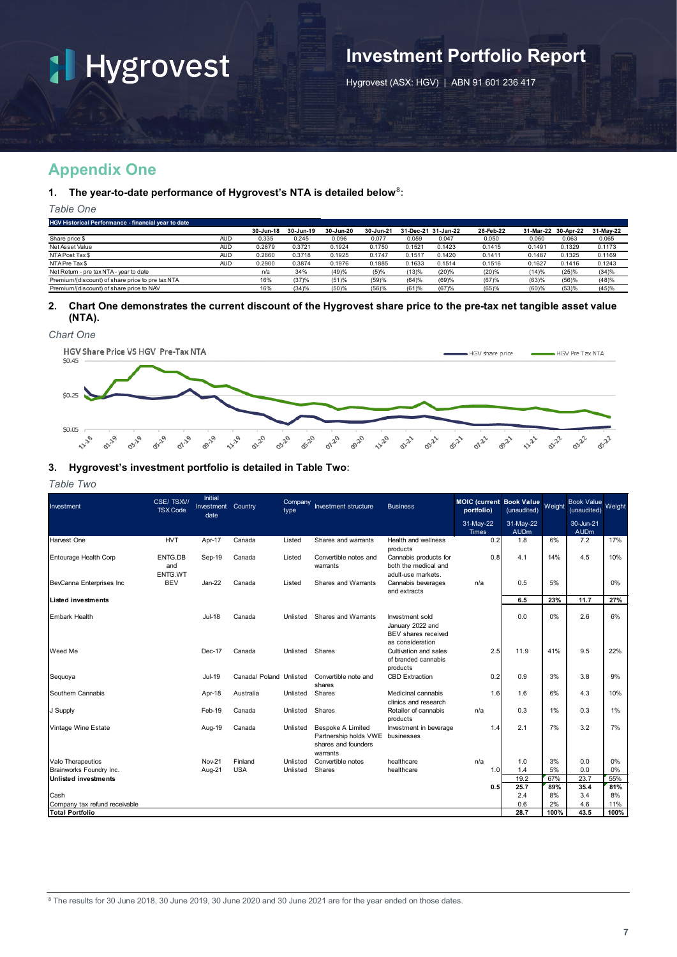# **Investment Portfolio Report**

Hygrovest (ASX: HGV) | ABN 91 601 236 417

## **Appendix One**

## **1. The year-to-date performance of Hygrovest's NTA is detailed below[8](#page-8-0):**

*Table One*

| <b>HGV Historical Performance - financial year to date</b> |            |           |           |           |           |        |                     |           |                     |        |           |
|------------------------------------------------------------|------------|-----------|-----------|-----------|-----------|--------|---------------------|-----------|---------------------|--------|-----------|
|                                                            |            | 30-Jun-18 | 30-Jun-19 | 30-Jun-20 | 30-Jun-21 |        | 31-Dec-21 31-Jan-22 | 28-Feb-22 | 31-Mar-22 30-Apr-22 |        | 31-May-22 |
| Share price \$                                             | <b>AUD</b> | 0.335     | 0.245     | 0.096     | 0.077     | 0.059  | 0.047               | 0.050     | 0.060               | 0.063  | 0.065     |
| Net Asset Value                                            | <b>AUD</b> | 0.2879    | 0.3721    | 0.1924    | 0.1750    | 0.1521 | 0.1423              | 0.1415    | 0.1491              | 0.1329 | 0.1173    |
| NTA Post Tax \$                                            | <b>AUD</b> | 0.2860    | 0.3718    | 0.1925    | 0.1747    | 0.1517 | 0.1420              | 0.1411    | 0.1487              | 0.1325 | 0.1169    |
| NTA Pre Tax \$                                             | <b>AUD</b> | 0.2900    | 0.3874    | 0.1976    | 0.1885    | 0.1633 | 0.1514              | 0.1516    | 0.1627              | 0.1416 | 0.1243    |
| Net Return - pre tax NTA - year to date                    |            | n/a       | 34%       | (49)%     | (5)%      | (13)%  | (20)%               | (20)%     | (14)%               | (25)%  | (34)%     |
| Premium/(discount) of share price to pre tax NTA           |            | 16%       | (37)%     | (51)%     | (59)%     | (64)%  | (69)%               | (67)%     | (63)%               | (56)%  | (48)%     |
| Premium/(discount) of share price to NAV                   |            | 16%       | (34)%     | (50)%     | (56)%     | (61)%  | (67)%               | (65)%     | (60)%               | (53)%  | (45)%     |
|                                                            |            |           |           |           |           |        |                     |           |                     |        |           |

### **2. Chart One demonstrates the current discount of the Hygrovest share price to the pre-tax net tangible asset value (NTA).**

*Chart One* 



## **3. Hygrovest's investment portfolio is detailed in Table Two:**

### *Table Two*

<span id="page-8-0"></span>

| Investment                                             | CSE/TSXV/<br><b>TSX Code</b> | Initial<br>Investment<br>date | Country                 | Company<br>type | Investment structure                                                                 | <b>Business</b>                                                                | <b>MOIC (current Book Value)</b><br>portfolio) | (unaudited)              | Weight    | <b>Book Value</b><br>(unaudited) | <b>Weight</b> |
|--------------------------------------------------------|------------------------------|-------------------------------|-------------------------|-----------------|--------------------------------------------------------------------------------------|--------------------------------------------------------------------------------|------------------------------------------------|--------------------------|-----------|----------------------------------|---------------|
|                                                        |                              |                               |                         |                 |                                                                                      |                                                                                | 31-May-22<br><b>Times</b>                      | 31-May-22<br><b>AUDm</b> |           | 30-Jun-21<br><b>AUDm</b>         |               |
| <b>Harvest One</b>                                     | <b>HVT</b>                   | Apr-17                        | Canada                  | Listed          | Shares and warrants                                                                  | Health and wellness<br>products                                                | 0.2                                            | 1.8                      | 6%        | 7.2                              | 17%           |
| Entourage Health Corp                                  | ENTG.DB<br>and<br>ENTG.WT    | Sep-19                        | Canada                  | Listed          | Convertible notes and<br>warrants                                                    | Cannabis products for<br>both the medical and<br>adult-use markets.            | 0.8                                            | 4.1                      | 14%       | 4.5                              | 10%           |
| BevCanna Enterprises Inc                               | <b>BEV</b>                   | Jan-22                        | Canada                  | Listed          | Shares and Warrants                                                                  | Cannabis beverages<br>and extracts                                             | n/a                                            | 0.5                      | 5%        |                                  | 0%            |
| <b>Listed investments</b>                              |                              |                               |                         |                 |                                                                                      |                                                                                |                                                | 6.5                      | 23%       | 11.7                             | 27%           |
| <b>Embark Health</b>                                   |                              | Jul-18                        | Canada                  | Unlisted        | Shares and Warrants                                                                  | Investment sold<br>January 2022 and<br>BEV shares received<br>as consideration |                                                | 0.0                      | 0%        | 2.6                              | 6%            |
| Weed Me                                                |                              | Dec-17                        | Canada                  | Unlisted        | Shares                                                                               | Cultivation and sales<br>of branded cannabis<br>products                       | 2.5                                            | 11.9                     | 41%       | 9.5                              | 22%           |
| Sequoya                                                |                              | Jul-19                        | Canada/ Poland Unlisted |                 | Convertible note and<br>shares                                                       | <b>CBD Extraction</b>                                                          | 0.2                                            | 0.9                      | 3%        | 3.8                              | 9%            |
| Southern Cannabis                                      |                              | Apr-18                        | Australia               | Unlisted        | Shares                                                                               | Medicinal cannabis<br>clinics and research                                     | 1.6                                            | 1.6                      | 6%        | 4.3                              | 10%           |
| J Supply                                               |                              | Feb-19                        | Canada                  | Unlisted        | Shares                                                                               | Retailer of cannabis<br>products                                               | n/a                                            | 0.3                      | $1\%$     | 0.3                              | 1%            |
| Vintage Wine Estate                                    |                              | Aug-19                        | Canada                  | Unlisted        | <b>Bespoke A Limited</b><br>Partnership holds VWE<br>shares and founders<br>warrants | Investment in beverage<br>businesses                                           | 1.4                                            | 2.1                      | 7%        | 3.2                              | 7%            |
| Valo Therapeutics                                      |                              | <b>Nov-21</b>                 | Finland                 | Unlisted        | Convertible notes                                                                    | healthcare                                                                     | n/a                                            | 1.0                      | 3%        | 0.0                              | 0%            |
| Brainworks Foundry Inc.<br><b>Unlisted investments</b> |                              | Aug-21                        | <b>USA</b>              | Unlisted        | Shares                                                                               | healthcare                                                                     | 1.0                                            | 1.4<br>19.2              | 5%<br>67% | 0.0<br>23.7                      | 0%<br>55%     |
|                                                        |                              |                               |                         |                 |                                                                                      |                                                                                | 0.5                                            | 25.7                     | 89%       | 35.4                             | 81%           |
| Cash                                                   |                              |                               |                         |                 |                                                                                      |                                                                                |                                                | 2.4                      | 8%        | 3.4                              | 8%            |
| Company tax refund receivable                          |                              |                               |                         |                 |                                                                                      |                                                                                |                                                | 0.6                      | 2%        | 4.6                              | 11%           |
| <b>Total Portfolio</b>                                 |                              |                               |                         |                 |                                                                                      |                                                                                |                                                | 28.7                     | 100%      | 43.5                             | 100%          |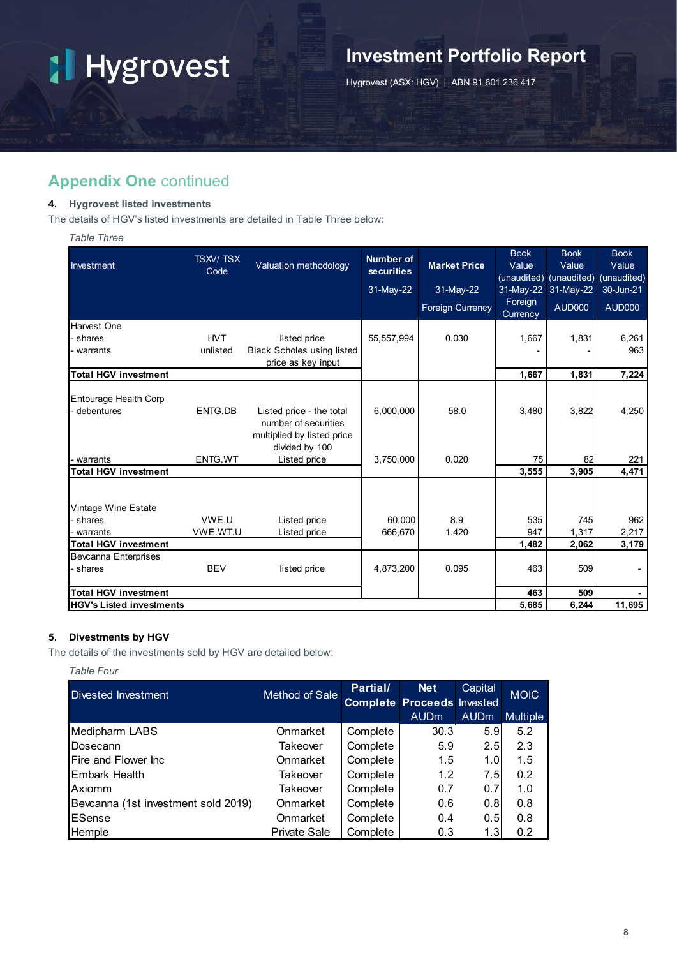# **Investment Portfolio Report**

Hygrovest (ASX: HGV) | ABN 91 601 236 417

## **Appendix One** continued

## **4. Hygrovest listed investments**

The details of HGV's listed investments are detailed in Table Three below:

## *Table Three*

|                                 | <b>TSXV/TSX</b> |                                   | <b>Number of</b>  |                         | <b>Book</b>         | <b>Book</b>             | <b>Book</b>   |
|---------------------------------|-----------------|-----------------------------------|-------------------|-------------------------|---------------------|-------------------------|---------------|
| Investment                      | Code            | Valuation methodology             | <b>securities</b> | <b>Market Price</b>     | Value               | Value                   | Value         |
|                                 |                 |                                   |                   |                         |                     | (unaudited) (unaudited) | (unaudited)   |
|                                 |                 |                                   | 31-May-22         | 31-May-22               |                     | 31-May-22 31-May-22     | 30-Jun-21     |
|                                 |                 |                                   |                   | <b>Foreign Currency</b> | Foreign<br>Currency | <b>AUD000</b>           | <b>AUD000</b> |
| Harvest One                     |                 |                                   |                   |                         |                     |                         |               |
| - shares                        | <b>HVT</b>      | listed price                      | 55, 557, 994      | 0.030                   | 1,667               | 1,831                   | 6,261         |
| - warrants                      | unlisted        | <b>Black Scholes using listed</b> |                   |                         |                     |                         | 963           |
|                                 |                 | price as key input                |                   |                         |                     |                         |               |
| <b>Total HGV investment</b>     |                 |                                   |                   |                         | 1,667               | 1,831                   | 7,224         |
|                                 |                 |                                   |                   |                         |                     |                         |               |
| Entourage Health Corp           |                 |                                   |                   |                         |                     |                         |               |
| debentures                      | ENTG.DB         | Listed price - the total          | 6,000,000         | 58.0                    | 3,480               | 3,822                   | 4,250         |
|                                 |                 | number of securities              |                   |                         |                     |                         |               |
|                                 |                 | multiplied by listed price        |                   |                         |                     |                         |               |
|                                 |                 | divided by 100                    |                   |                         |                     |                         |               |
| warrants                        | ENTG.WT         | Listed price                      | 3,750,000         | 0.020                   | 75                  | 82                      | 221           |
| <b>Total HGV investment</b>     |                 |                                   |                   |                         | 3,555               | 3,905                   | 4,471         |
|                                 |                 |                                   |                   |                         |                     |                         |               |
| Vintage Wine Estate             |                 |                                   |                   |                         |                     |                         |               |
| - shares                        | VWE.U           | Listed price                      | 60,000            | 8.9                     | 535                 | 745                     | 962           |
| warrants                        | VWE.WT.U        | Listed price                      | 666,670           | 1.420                   | 947                 | 1,317                   | 2,217         |
| <b>Total HGV investment</b>     |                 |                                   |                   |                         | 1,482               | 2,062                   | 3,179         |
| <b>Bevcanna Enterprises</b>     |                 |                                   |                   |                         |                     |                         |               |
| - shares                        | <b>BEV</b>      | listed price                      | 4,873,200         | 0.095                   | 463                 | 509                     |               |
| <b>Total HGV investment</b>     |                 |                                   |                   |                         | 463                 | 509                     |               |
| <b>HGV's Listed investments</b> |                 |                                   |                   |                         | 5,685               | 6,244                   | 11,695        |

## **5. Divestments by HGV**

The details of the investments sold by HGV are detailed below:

*Table Four*

| Divested Investment                 | <b>Method of Sale</b> | Partial/ | <b>Net</b><br><b>Complete Proceeds Invested</b> | Capital          | <b>MOIC</b>     |
|-------------------------------------|-----------------------|----------|-------------------------------------------------|------------------|-----------------|
|                                     |                       |          | <b>AUDm</b>                                     | <b>AUDm</b>      | <b>Multiple</b> |
| Medipharm LABS                      | Onmarket              | Complete | 30.3                                            | 5.9              | 5.2             |
| Dosecann                            | Takeover              | Complete | 5.9                                             | 2.5              | 2.3             |
| <b>IFire and Flower Inc</b>         | Onmarket              | Complete | 1.5                                             | 1.0 <sub>l</sub> | 1.5             |
| Embark Health                       | Takeover              | Complete | 1.2                                             | 7.5              | 0.2             |
| Axiomm                              | Takeover              | Complete | 0.7                                             | 0.7              | 1.0             |
| Bevcanna (1st investment sold 2019) | Onmarket              | Complete | 0.6                                             | 0.8              | 0.8             |
| ESense                              | Onmarket              | Complete | 0.4                                             | 0.5              | 0.8             |
| Hemple                              | <b>Private Sale</b>   | Complete | 0.3                                             | 1.3              | 0.2             |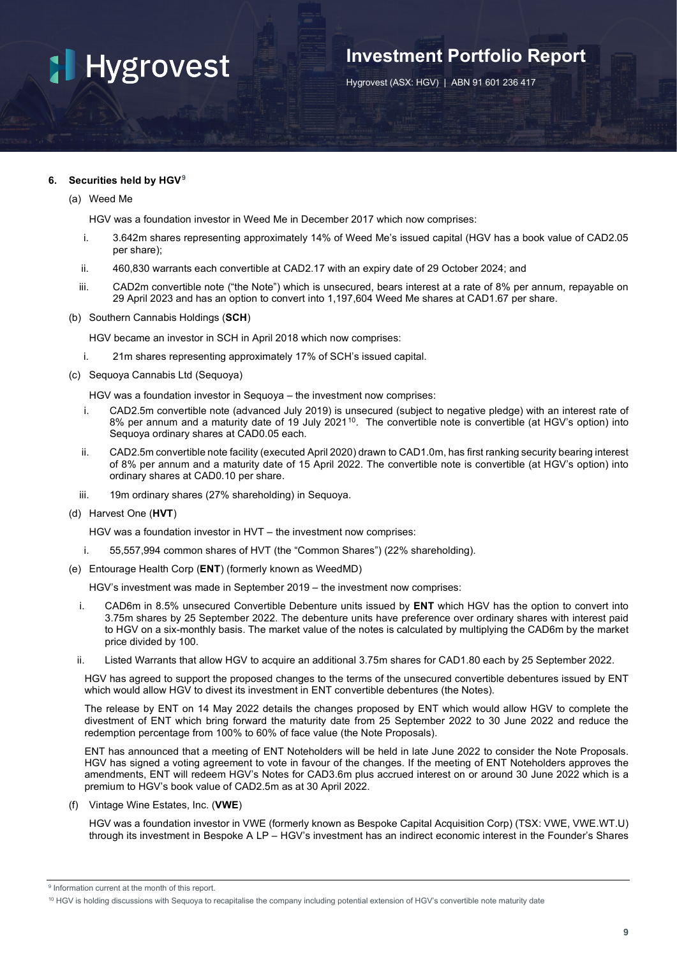## **Investment Portfolio Report**

Hygrovest (ASX: HGV) | ABN 91 601 236 417

## **6. Securities held by HGV[9](#page-10-0)**

(a) Weed Me

HGV was a foundation investor in Weed Me in December 2017 which now comprises:

- i. 3.642m shares representing approximately 14% of Weed Me's issued capital (HGV has a book value of CAD2.05 per share);
- ii. 460,830 warrants each convertible at CAD2.17 with an expiry date of 29 October 2024; and
- iii. CAD2m convertible note ("the Note") which is unsecured, bears interest at a rate of 8% per annum, repayable on 29 April 2023 and has an option to convert into 1,197,604 Weed Me shares at CAD1.67 per share.
- (b) Southern Cannabis Holdings (**SCH**)

HGV became an investor in SCH in April 2018 which now comprises:

- i. 21m shares representing approximately 17% of SCH's issued capital.
- (c) Sequoya Cannabis Ltd (Sequoya)

HGV was a foundation investor in Sequoya – the investment now comprises:

- i. CAD2.5m convertible note (advanced July 2019) is unsecured (subject to negative pledge) with an interest rate of 8% per annum and a maturity date of 19 July 2021<sup>10</sup>. The convertible note is convertible (at HGV's option) into Sequoya ordinary shares at CAD0.05 each.
- ii. CAD2.5m convertible note facility (executed April 2020) drawn to CAD1.0m, has first ranking security bearing interest of 8% per annum and a maturity date of 15 April 2022. The convertible note is convertible (at HGV's option) into ordinary shares at CAD0.10 per share.
- iii. 19m ordinary shares (27% shareholding) in Sequoya.
- (d) Harvest One (**HVT**)

HGV was a foundation investor in HVT – the investment now comprises:

- i. 55,557,994 common shares of HVT (the "Common Shares") (22% shareholding).
- (e) Entourage Health Corp (**ENT**) (formerly known as WeedMD)

HGV's investment was made in September 2019 – the investment now comprises:

- i. CAD6m in 8.5% unsecured Convertible Debenture units issued by **ENT** which HGV has the option to convert into 3.75m shares by 25 September 2022. The debenture units have preference over ordinary shares with interest paid to HGV on a six-monthly basis. The market value of the notes is calculated by multiplying the CAD6m by the market price divided by 100.
- ii. Listed Warrants that allow HGV to acquire an additional 3.75m shares for CAD1.80 each by 25 September 2022.

HGV has agreed to support the proposed changes to the terms of the unsecured convertible debentures issued by ENT which would allow HGV to divest its investment in ENT convertible debentures (the Notes).

The release by ENT on 14 May 2022 details the changes proposed by ENT which would allow HGV to complete the divestment of ENT which bring forward the maturity date from 25 September 2022 to 30 June 2022 and reduce the redemption percentage from 100% to 60% of face value (the Note Proposals).

ENT has announced that a meeting of ENT Noteholders will be held in late June 2022 to consider the Note Proposals. HGV has signed a voting agreement to vote in favour of the changes. If the meeting of ENT Noteholders approves the amendments, ENT will redeem HGV's Notes for CAD3.6m plus accrued interest on or around 30 June 2022 which is a premium to HGV's book value of CAD2.5m as at 30 April 2022.

(f) Vintage Wine Estates, Inc. (**VWE**)

HGV was a foundation investor in VWE (formerly known as Bespoke Capital Acquisition Corp) (TSX: VWE, VWE.WT.U) through its investment in Bespoke A LP – HGV's investment has an indirect economic interest in the Founder's Shares

<span id="page-10-0"></span><sup>&</sup>lt;sup>9</sup> Information current at the month of this report.

<span id="page-10-1"></span><sup>10</sup> HGV is holding discussions with Sequoya to recapitalise the company including potential extension of HGV's convertible note maturity date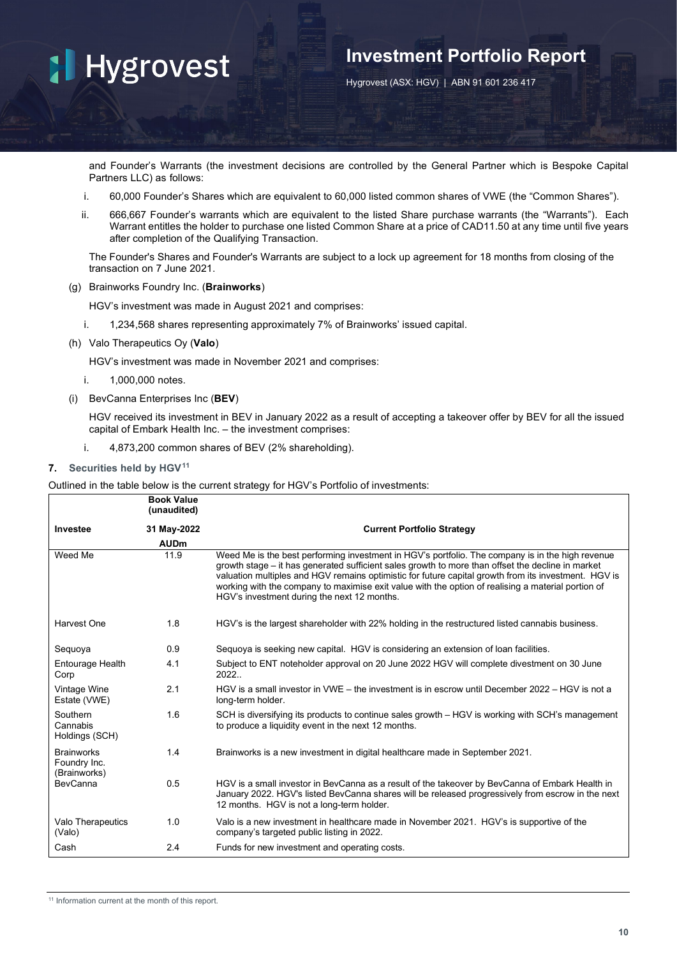## **Investment Portfolio Report**

Hygrovest (ASX: HGV) | ABN 91 601 236 417

and Founder's Warrants (the investment decisions are controlled by the General Partner which is Bespoke Capital Partners LLC) as follows:

- i. 60,000 Founder's Shares which are equivalent to 60,000 listed common shares of VWE (the "Common Shares").
- ii. 666,667 Founder's warrants which are equivalent to the listed Share purchase warrants (the "Warrants"). Each Warrant entitles the holder to purchase one listed Common Share at a price of CAD11.50 at any time until five years after completion of the Qualifying Transaction.

The Founder's Shares and Founder's Warrants are subject to a lock up agreement for 18 months from closing of the transaction on 7 June 2021.

(g) Brainworks Foundry Inc. (**Brainworks**)

HGV's investment was made in August 2021 and comprises:

- i. 1,234,568 shares representing approximately 7% of Brainworks' issued capital.
- (h) Valo Therapeutics Oy (**Valo**)

HGV's investment was made in November 2021 and comprises:

- i. 1,000,000 notes.
- (i) BevCanna Enterprises Inc (**BEV**)

HGV received its investment in BEV in January 2022 as a result of accepting a takeover offer by BEV for all the issued capital of Embark Health Inc. – the investment comprises:

i. 4,873,200 common shares of BEV (2% shareholding).

#### **7. Securities held by HGV[11](#page-11-0)**

Outlined in the table below is the current strategy for HGV's Portfolio of investments:

<span id="page-11-0"></span>

|                                                   | <b>Book Value</b><br>(unaudited) |                                                                                                                                                                                                                                                                                                                                                                                                                                                                    |
|---------------------------------------------------|----------------------------------|--------------------------------------------------------------------------------------------------------------------------------------------------------------------------------------------------------------------------------------------------------------------------------------------------------------------------------------------------------------------------------------------------------------------------------------------------------------------|
| Investee                                          | 31 May-2022                      | <b>Current Portfolio Strategy</b>                                                                                                                                                                                                                                                                                                                                                                                                                                  |
|                                                   | <b>AUDm</b>                      |                                                                                                                                                                                                                                                                                                                                                                                                                                                                    |
| Weed Me                                           | 11.9                             | Weed Me is the best performing investment in HGV's portfolio. The company is in the high revenue<br>growth stage – it has generated sufficient sales growth to more than offset the decline in market<br>valuation multiples and HGV remains optimistic for future capital growth from its investment. HGV is<br>working with the company to maximise exit value with the option of realising a material portion of<br>HGV's investment during the next 12 months. |
| Harvest One                                       | 1.8                              | HGV's is the largest shareholder with 22% holding in the restructured listed cannabis business.                                                                                                                                                                                                                                                                                                                                                                    |
| Sequoya                                           | 0.9                              | Sequoya is seeking new capital. HGV is considering an extension of loan facilities.                                                                                                                                                                                                                                                                                                                                                                                |
| Entourage Health<br>Corp                          | 4.1                              | Subject to ENT noteholder approval on 20 June 2022 HGV will complete divestment on 30 June<br>2022.                                                                                                                                                                                                                                                                                                                                                                |
| Vintage Wine<br>Estate (VWE)                      | 2.1                              | HGV is a small investor in VWE – the investment is in escrow until December 2022 – HGV is not a<br>long-term holder.                                                                                                                                                                                                                                                                                                                                               |
| Southern<br>Cannabis<br>Holdings (SCH)            | 1.6                              | SCH is diversifying its products to continue sales growth – HGV is working with SCH's management<br>to produce a liquidity event in the next 12 months.                                                                                                                                                                                                                                                                                                            |
| <b>Brainworks</b><br>Foundry Inc.<br>(Brainworks) | 1.4                              | Brainworks is a new investment in digital healthcare made in September 2021.                                                                                                                                                                                                                                                                                                                                                                                       |
| <b>BevCanna</b>                                   | 0.5                              | HGV is a small investor in BevCanna as a result of the takeover by BevCanna of Embark Health in<br>January 2022. HGV's listed BevCanna shares will be released progressively from escrow in the next<br>12 months. HGV is not a long-term holder.                                                                                                                                                                                                                  |
| Valo Therapeutics<br>(Valo)                       | 1.0                              | Valo is a new investment in healthcare made in November 2021. HGV's is supportive of the<br>company's targeted public listing in 2022.                                                                                                                                                                                                                                                                                                                             |
| Cash                                              | 2.4                              | Funds for new investment and operating costs.                                                                                                                                                                                                                                                                                                                                                                                                                      |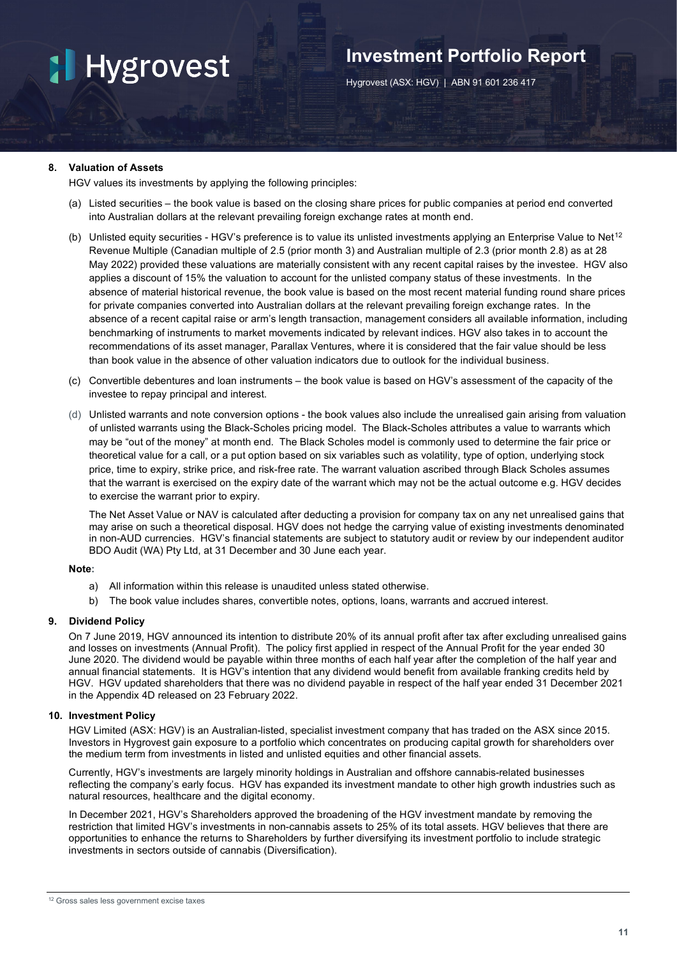## **Investment Portfolio Report**

Hygrovest (ASX: HGV) | ABN 91 601 236 417

## **8. Valuation of Assets**

HGV values its investments by applying the following principles:

- (a) Listed securities the book value is based on the closing share prices for public companies at period end converted into Australian dollars at the relevant prevailing foreign exchange rates at month end.
- (b) Unlisted equity securities HGV's preference is to value its unlisted investments applying an Enterprise Value to Net<sup>[12](#page-12-0)</sup> Revenue Multiple (Canadian multiple of 2.5 (prior month 3) and Australian multiple of 2.3 (prior month 2.8) as at 28 May 2022) provided these valuations are materially consistent with any recent capital raises by the investee. HGV also applies a discount of 15% the valuation to account for the unlisted company status of these investments. In the absence of material historical revenue, the book value is based on the most recent material funding round share prices for private companies converted into Australian dollars at the relevant prevailing foreign exchange rates. In the absence of a recent capital raise or arm's length transaction, management considers all available information, including benchmarking of instruments to market movements indicated by relevant indices. HGV also takes in to account the recommendations of its asset manager, Parallax Ventures, where it is considered that the fair value should be less than book value in the absence of other valuation indicators due to outlook for the individual business.
- (c) Convertible debentures and loan instruments the book value is based on HGV's assessment of the capacity of the investee to repay principal and interest.
- (d) Unlisted warrants and note conversion options the book values also include the unrealised gain arising from valuation of unlisted warrants using the Black-Scholes pricing model. The Black-Scholes attributes a value to warrants which may be "out of the money" at month end. The Black Scholes model is commonly used to determine the fair price or theoretical value for a call, or a put option based on six variables such as volatility, type of option, underlying stock price, time to expiry, strike price, and risk-free rate. The warrant valuation ascribed through Black Scholes assumes that the warrant is exercised on the expiry date of the warrant which may not be the actual outcome e.g. HGV decides to exercise the warrant prior to expiry.

The Net Asset Value or NAV is calculated after deducting a provision for company tax on any net unrealised gains that may arise on such a theoretical disposal. HGV does not hedge the carrying value of existing investments denominated in non-AUD currencies. HGV's financial statements are subject to statutory audit or review by our independent auditor BDO Audit (WA) Pty Ltd, at 31 December and 30 June each year.

## **Note:**

- a) All information within this release is unaudited unless stated otherwise.
- b) The book value includes shares, convertible notes, options, loans, warrants and accrued interest.

### **9. Dividend Policy**

On 7 June 2019, HGV announced its intention to distribute 20% of its annual profit after tax after excluding unrealised gains and losses on investments (Annual Profit). The policy first applied in respect of the Annual Profit for the year ended 30 June 2020. The dividend would be payable within three months of each half year after the completion of the half year and annual financial statements. It is HGV's intention that any dividend would benefit from available franking credits held by HGV. HGV updated shareholders that there was no dividend payable in respect of the half year ended 31 December 2021 in the Appendix 4D released on 23 February 2022.

### **10. Investment Policy**

HGV Limited (ASX: HGV) is an Australian-listed, specialist investment company that has traded on the ASX since 2015. Investors in Hygrovest gain exposure to a portfolio which concentrates on producing capital growth for shareholders over the medium term from investments in listed and unlisted equities and other financial assets.

Currently, HGV's investments are largely minority holdings in Australian and offshore cannabis-related businesses reflecting the company's early focus. HGV has expanded its investment mandate to other high growth industries such as natural resources, healthcare and the digital economy.

<span id="page-12-0"></span>In December 2021, HGV's Shareholders approved the broadening of the HGV investment mandate by removing the restriction that limited HGV's investments in non-cannabis assets to 25% of its total assets. HGV believes that there are opportunities to enhance the returns to Shareholders by further diversifying its investment portfolio to include strategic investments in sectors outside of cannabis (Diversification).